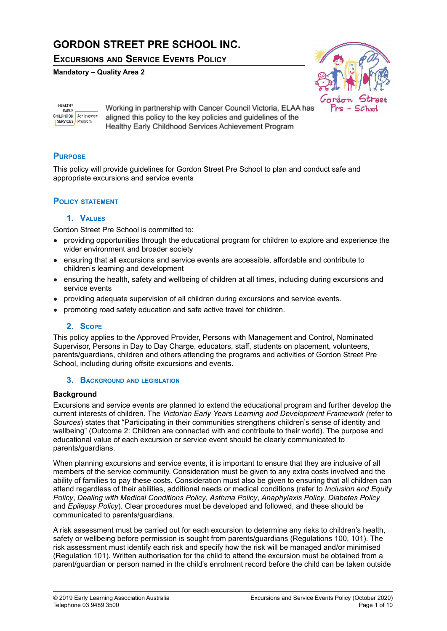# **GORDON STREET PRE SCHOOL INC.**

**EXCURSIONS AND SERVICE EVENTS POLICY**

**Mandatory – Quality Area 2**



HEALTHY **EARLY** CHILDHOOD Achievement SERVICES Program

Working in partnership with Cancer Council Victoria, ELAA has aligned this policy to the key policies and guidelines of the Healthy Early Childhood Services Achievement Program

## **PURPOSE**

This policy will provide guidelines for Gordon Street Pre School to plan and conduct safe and appropriate excursions and service events

## **POLICY STATEMENT**

### **1. VALUES**

Gordon Street Pre School is committed to:

- providing opportunities through the educational program for children to explore and experience the wider environment and broader society
- ensuring that all excursions and service events are accessible, affordable and contribute to children's learning and development
- ensuring the health, safety and wellbeing of children at all times, including during excursions and service events
- providing adequate supervision of all children during excursions and service events.
- promoting road safety education and safe active travel for children.

## **2. SCOPE**

This policy applies to the Approved Provider, Persons with Management and Control, Nominated Supervisor, Persons in Day to Day Charge, educators, staff, students on placement, volunteers, parents/guardians, children and others attending the programs and activities of Gordon Street Pre School, including during offsite excursions and events.

#### **3. BACKGROUND AND LEGISLATION**

### **Background**

Excursions and service events are planned to extend the educational program and further develop the current interests of children. The *Victorian Early Years Learning and Development Framework (*refer to *Sources*) states that "Participating in their communities strengthens children's sense of identity and wellbeing" (Outcome 2: Children are connected with and contribute to their world). The purpose and educational value of each excursion or service event should be clearly communicated to parents/guardians.

When planning excursions and service events, it is important to ensure that they are inclusive of all members of the service community. Consideration must be given to any extra costs involved and the ability of families to pay these costs. Consideration must also be given to ensuring that all children can attend regardless of their abilities, additional needs or medical conditions (refer to *Inclusion and Equity Policy*, *Dealing with Medical Conditions Policy*, *Asthma Policy*, *Anaphylaxis Policy*, *Diabetes Policy* and *Epilepsy Policy*). Clear procedures must be developed and followed, and these should be communicated to parents/guardians.

A risk assessment must be carried out for each excursion to determine any risks to children's health, safety or wellbeing before permission is sought from parents/guardians (Regulations 100, 101). The risk assessment must identify each risk and specify how the risk will be managed and/or minimised (Regulation 101). Written authorisation for the child to attend the excursion must be obtained from a parent/guardian or person named in the child's enrolment record before the child can be taken outside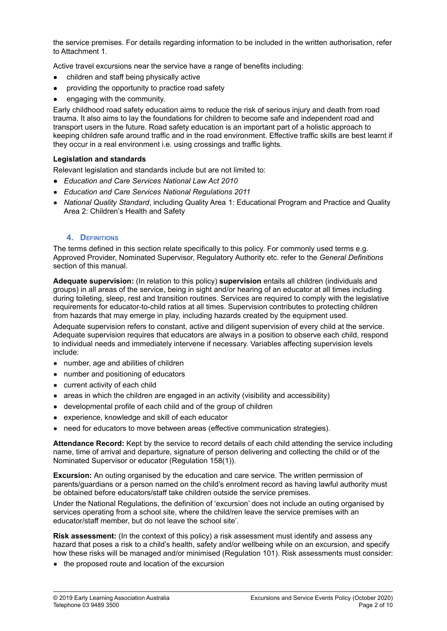the service premises. For details regarding information to be included in the written authorisation, refer to Attachment 1.

Active travel excursions near the service have a range of benefits including:

- children and staff being physically active
- providing the opportunity to practice road safety
- engaging with the community.

Early childhood road safety education aims to reduce the risk of serious injury and death from road trauma. It also aims to lay the foundations for children to become safe and independent road and transport users in the future. Road safety education is an important part of a holistic approach to keeping children safe around traffic and in the road environment. Effective traffic skills are best learnt if they occur in a real environment i.e. using crossings and traffic lights.

#### **Legislation and standards**

Relevant legislation and standards include but are not limited to:

- *● Education and Care Services National Law Act 2010*
- *Education and Care Services National Regulations 2011*
- *National Quality Standard*, including Quality Area 1: Educational Program and Practice and Quality Area 2: Children's Health and Safety

#### **4. DEFINITIONS**

The terms defined in this section relate specifically to this policy. For commonly used terms e.g. Approved Provider, Nominated Supervisor, Regulatory Authority etc. refer to the *General Definitions* section of this manual.

**Adequate supervision:** (In relation to this policy) **supervision** entails all children (individuals and groups) in all areas of the service, being in sight and/or hearing of an educator at all times including during toileting, sleep, rest and transition routines. Services are required to comply with the legislative requirements for educator-to-child ratios at all times. Supervision contributes to protecting children from hazards that may emerge in play, including hazards created by the equipment used.

Adequate supervision refers to constant, active and diligent supervision of every child at the service. Adequate supervision requires that educators are always in a position to observe each child, respond to individual needs and immediately intervene if necessary. Variables affecting supervision levels include:

- number, age and abilities of children
- number and positioning of educators
- current activity of each child
- areas in which the children are engaged in an activity (visibility and accessibility)
- developmental profile of each child and of the group of children
- experience, knowledge and skill of each educator
- need for educators to move between areas (effective communication strategies).

**Attendance Record:** Kept by the service to record details of each child attending the service including name, time of arrival and departure, signature of person delivering and collecting the child or of the Nominated Supervisor or educator (Regulation 158(1)).

**Excursion:** An outing organised by the education and care service. The written permission of parents/guardians or a person named on the child's enrolment record as having lawful authority must be obtained before educators/staff take children outside the service premises.

Under the National Regulations, the definition of 'excursion' does not include an outing organised by services operating from a school site, where the child/ren leave the service premises with an educator/staff member, but do not leave the school site'.

**Risk assessment:** (In the context of this policy) a risk assessment must identify and assess any hazard that poses a risk to a child's health, safety and/or wellbeing while on an excursion, and specify how these risks will be managed and/or minimised (Regulation 101). Risk assessments must consider:

● the proposed route and location of the excursion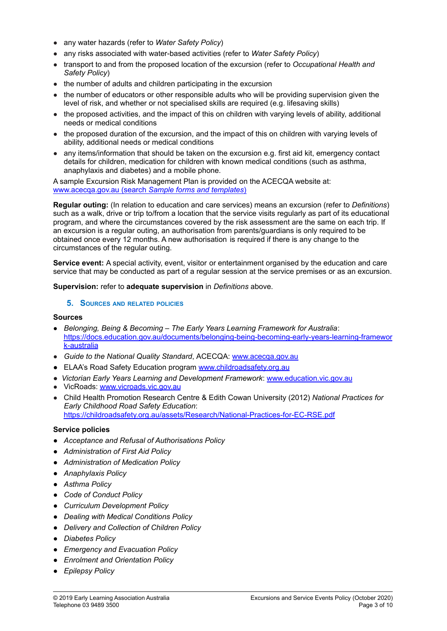- any water hazards (refer to *Water Safety Policy*)
- any risks associated with water-based activities (refer to *Water Safety Policy*)
- transport to and from the proposed location of the excursion (refer to *Occupational Health and Safety Policy*)
- the number of adults and children participating in the excursion
- the number of educators or other responsible adults who will be providing supervision given the level of risk, and whether or not specialised skills are required (e.g. lifesaving skills)
- the proposed activities, and the impact of this on children with varying levels of ability, additional needs or medical conditions
- the proposed duration of the excursion, and the impact of this on children with varying levels of ability, additional needs or medical conditions
- any items/information that should be taken on the excursion e.g. first aid kit, emergency contact details for children, medication for children with known medical conditions (such as asthma, anaphylaxis and diabetes) and a mobile phone.

A sample Excursion Risk Management Plan is provided on the ACECQA website at: [www.acecqa.gov.au](http://www.acecqa.gov.au) (search *Sample forms and templates*)

**Regular outing:** (In relation to education and care services) means an excursion (refer to *Definitions*) such as a walk, drive or trip to/from a location that the service visits regularly as part of its educational program, and where the circumstances covered by the risk assessment are the same on each trip. If an excursion is a regular outing, an authorisation from parents/guardians is only required to be obtained once every 12 months. A new authorisation is required if there is any change to the circumstances of the regular outing.

**Service event:** A special activity, event, visitor or entertainment organised by the education and care service that may be conducted as part of a regular session at the service premises or as an excursion.

**Supervision:** refer to **adequate supervision** in *Definitions* above.

#### **5. SOURCES AND RELATED POLICIES**

#### **Sources**

- *Belonging, Being & Becoming – The Early Years Learning Framework for Australia*: [https://docs.education.gov.au/documents/belonging-being-becoming-early-years-learning-framewor](https://docs.education.gov.au/documents/belonging-being-becoming-early-years-learning-framework-australia) [k-australia](https://docs.education.gov.au/documents/belonging-being-becoming-early-years-learning-framework-australia)
- *Guide to the National Quality Standard*, ACECQA: [www.acecqa.gov.au](http://www.acecqa.gov.au)
- *●* ELAA's Road Safety Education program [www.childroadsafety.org.au](http://childroadsafety.org.au)
- *Victorian Early Years Learning and Development Framework*: [www.education.vic.gov.au](http://www.education.vic.gov.au/Pages/default.aspx)
- VicRoads: [www.vicroads.vic.gov.au](http://www.vicroads.vic.gov.au)
- Child Health Promotion Research Centre & Edith Cowan University (2012) *National Practices for Early Childhood Road Safety Education*: <https://childroadsafety.org.au/assets/Research/National-Practices-for-EC-RSE.pdf>

#### **Service policies**

- *● Acceptance and Refusal of Authorisations Policy*
- *● Administration of First Aid Policy*
- *● Administration of Medication Policy*
- *● Anaphylaxis Policy*
- *● Asthma Policy*
- *● Code of Conduct Policy*
- *● Curriculum Development Policy*
- *● Dealing with Medical Conditions Policy*
- *● Delivery and Collection of Children Policy*
- *● Diabetes Policy*
- *● Emergency and Evacuation Policy*
- *● Enrolment and Orientation Policy*
- *● Epilepsy Policy*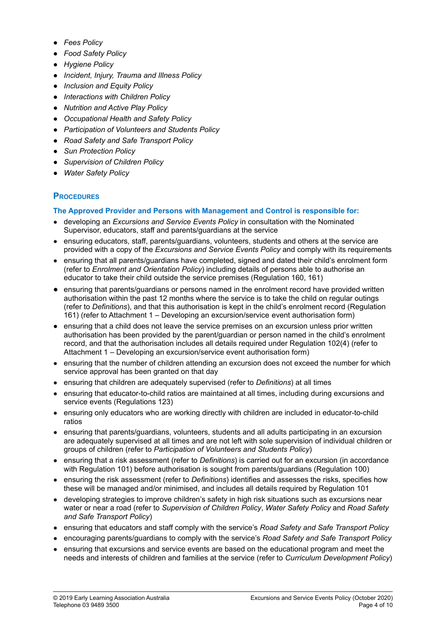- *● Fees Policy*
- *● Food Safety Policy*
- *● Hygiene Policy*
- *● Incident, Injury, Trauma and Illness Policy*
- *● Inclusion and Equity Policy*
- *● Interactions with Children Policy*
- *● Nutrition and Active Play Policy*
- *● Occupational Health and Safety Policy*
- *● Participation of Volunteers and Students Policy*
- *● Road Safety and Safe Transport Policy*
- *● Sun Protection Policy*
- *● Supervision of Children Policy*
- *● Water Safety Policy*

## **PROCEDURES**

### **The Approved Provider and Persons with Management and Control is responsible for:**

- developing an *Excursions and Service Events Policy* in consultation with the Nominated Supervisor, educators, staff and parents/guardians at the service
- ensuring educators, staff, parents/guardians, volunteers, students and others at the service are provided with a copy of the *Excursions and Service Events Policy* and comply with its requirements
- ensuring that all parents/guardians have completed, signed and dated their child's enrolment form (refer to *Enrolment and Orientation Policy*) including details of persons able to authorise an educator to take their child outside the service premises (Regulation 160, 161)
- ensuring that parents/guardians or persons named in the enrolment record have provided written authorisation within the past 12 months where the service is to take the child on regular outings (refer to *Definitions*), and that this authorisation is kept in the child's enrolment record (Regulation 161) (refer to Attachment 1 – Developing an excursion/service event authorisation form)
- ensuring that a child does not leave the service premises on an excursion unless prior written authorisation has been provided by the parent/guardian or person named in the child's enrolment record, and that the authorisation includes all details required under Regulation 102(4) (refer to Attachment 1 – Developing an excursion/service event authorisation form)
- ensuring that the number of children attending an excursion does not exceed the number for which service approval has been granted on that day
- ensuring that children are adequately supervised (refer to *Definitions*) at all times
- ensuring that educator-to-child ratios are maintained at all times, including during excursions and service events (Regulations 123)
- ensuring only educators who are working directly with children are included in educator-to-child ratios
- ensuring that parents/guardians, volunteers, students and all adults participating in an excursion are adequately supervised at all times and are not left with sole supervision of individual children or groups of children (refer to *Participation of Volunteers and Students Policy*)
- ensuring that a risk assessment (refer to *Definitions*) is carried out for an excursion (in accordance with Regulation 101) before authorisation is sought from parents/guardians (Regulation 100)
- ensuring the risk assessment (refer to *Definitions*) identifies and assesses the risks, specifies how these will be managed and/or minimised, and includes all details required by Regulation 101
- developing strategies to improve children's safety in high risk situations such as excursions near water or near a road (refer to *Supervision of Children Policy*, *Water Safety Policy* and *Road Safety and Safe Transport Policy*)
- ensuring that educators and staff comply with the service's *Road Safety and Safe Transport Policy*
- encouraging parents/guardians to comply with the service's *Road Safety and Safe Transport Policy*
- ensuring that excursions and service events are based on the educational program and meet the needs and interests of children and families at the service (refer to *Curriculum Development Policy*)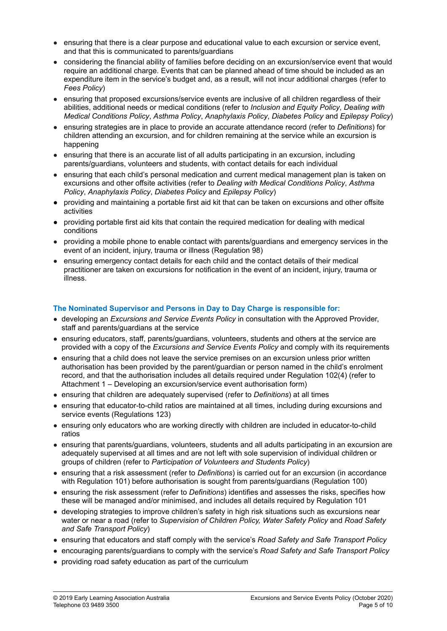- ensuring that there is a clear purpose and educational value to each excursion or service event, and that this is communicated to parents/guardians
- considering the financial ability of families before deciding on an excursion/service event that would require an additional charge. Events that can be planned ahead of time should be included as an expenditure item in the service's budget and, as a result, will not incur additional charges (refer to *Fees Policy*)
- ensuring that proposed excursions/service events are inclusive of all children regardless of their abilities, additional needs or medical conditions (refer to *Inclusion and Equity Policy*, *Dealing with Medical Conditions Policy*, *Asthma Policy*, *Anaphylaxis Policy*, *Diabetes Policy* and *Epilepsy Policy*)
- ensuring strategies are in place to provide an accurate attendance record (refer to *Definitions*) for children attending an excursion, and for children remaining at the service while an excursion is happening
- ensuring that there is an accurate list of all adults participating in an excursion, including parents/guardians, volunteers and students, with contact details for each individual
- ensuring that each child's personal medication and current medical management plan is taken on excursions and other offsite activities (refer to *Dealing with Medical Conditions Policy*, *Asthma Policy*, *Anaphylaxis Policy*, *Diabetes Policy* and *Epilepsy Policy*)
- providing and maintaining a portable first aid kit that can be taken on excursions and other offsite activities
- **●** providing portable first aid kits that contain the required medication for dealing with medical conditions
- providing a mobile phone to enable contact with parents/guardians and emergency services in the event of an incident, injury, trauma or illness (Regulation 98)
- ensuring emergency contact details for each child and the contact details of their medical practitioner are taken on excursions for notification in the event of an incident, injury, trauma or illness.

### **The Nominated Supervisor and Persons in Day to Day Charge is responsible for:**

- developing an *Excursions and Service Events Policy* in consultation with the Approved Provider, staff and parents/guardians at the service
- ensuring educators, staff, parents/guardians, volunteers, students and others at the service are provided with a copy of the *Excursions and Service Events Policy* and comply with its requirements
- ensuring that a child does not leave the service premises on an excursion unless prior written authorisation has been provided by the parent/guardian or person named in the child's enrolment record, and that the authorisation includes all details required under Regulation 102(4) (refer to Attachment 1 – Developing an excursion/service event authorisation form)
- ensuring that children are adequately supervised (refer to *Definitions*) at all times
- ensuring that educator-to-child ratios are maintained at all times, including during excursions and service events (Regulations 123)
- ensuring only educators who are working directly with children are included in educator-to-child ratios
- ensuring that parents/guardians, volunteers, students and all adults participating in an excursion are adequately supervised at all times and are not left with sole supervision of individual children or groups of children (refer to *Participation of Volunteers and Students Policy*)
- ensuring that a risk assessment (refer to *Definitions*) is carried out for an excursion (in accordance with Regulation 101) before authorisation is sought from parents/guardians (Regulation 100)
- ensuring the risk assessment (refer to *Definitions*) identifies and assesses the risks, specifies how these will be managed and/or minimised, and includes all details required by Regulation 101
- developing strategies to improve children's safety in high risk situations such as excursions near water or near a road (refer to *Supervision of Children Policy, Water Safety Policy* and *Road Safety and Safe Transport Policy*)
- ensuring that educators and staff comply with the service's *Road Safety and Safe Transport Policy*
- encouraging parents/guardians to comply with the service's *Road Safety and Safe Transport Policy*
- providing road safety education as part of the curriculum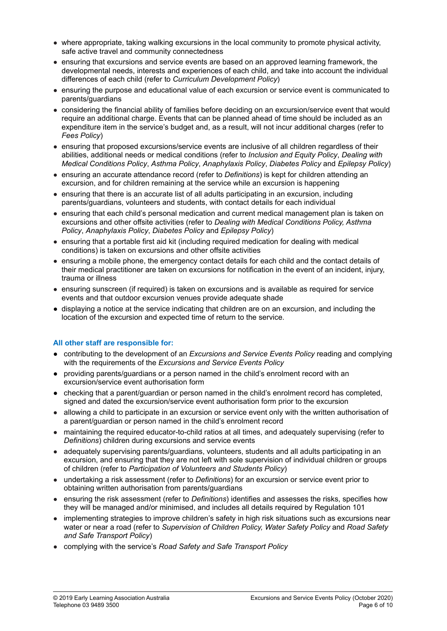- where appropriate, taking walking excursions in the local community to promote physical activity, safe active travel and community connectedness
- ensuring that excursions and service events are based on an approved learning framework, the developmental needs, interests and experiences of each child, and take into account the individual differences of each child (refer to *Curriculum Development Policy*)
- ensuring the purpose and educational value of each excursion or service event is communicated to parents/guardians
- considering the financial ability of families before deciding on an excursion/service event that would require an additional charge. Events that can be planned ahead of time should be included as an expenditure item in the service's budget and, as a result, will not incur additional charges (refer to *Fees Policy*)
- ensuring that proposed excursions/service events are inclusive of all children regardless of their abilities, additional needs or medical conditions (refer to *Inclusion and Equity Policy*, *Dealing with Medical Conditions Policy*, *Asthma Policy*, *Anaphylaxis Policy*, *Diabetes Policy* and *Epilepsy Policy*)
- ensuring an accurate attendance record (refer to *Definitions*) is kept for children attending an excursion, and for children remaining at the service while an excursion is happening
- ensuring that there is an accurate list of all adults participating in an excursion, including parents/guardians, volunteers and students, with contact details for each individual
- ensuring that each child's personal medication and current medical management plan is taken on excursions and other offsite activities (refer to *Dealing with Medical Conditions Policy, Asthma Policy*, *Anaphylaxis Policy*, *Diabetes Policy* and *Epilepsy Policy*)
- ensuring that a portable first aid kit (including required medication for dealing with medical conditions) is taken on excursions and other offsite activities
- ensuring a mobile phone, the emergency contact details for each child and the contact details of their medical practitioner are taken on excursions for notification in the event of an incident, injury, trauma or illness
- ensuring sunscreen (if required) is taken on excursions and is available as required for service events and that outdoor excursion venues provide adequate shade
- *●* displaying a notice at the service indicating that children are on an excursion, and including the location of the excursion and expected time of return to the service.

### **All other staff are responsible for:**

- **●** contributing to the development of an *Excursions and Service Events Policy* reading and complying with the requirements of the *Excursions and Service Events Policy*
- **●** providing parents/guardians or a person named in the child's enrolment record with an excursion/service event authorisation form
- **●** checking that a parent/guardian or person named in the child's enrolment record has completed, signed and dated the excursion/service event authorisation form prior to the excursion
- allowing a child to participate in an excursion or service event only with the written authorisation of a parent/guardian or person named in the child's enrolment record
- maintaining the required educator-to-child ratios at all times, and adequately supervising (refer to *Definitions*) children during excursions and service events
- adequately supervising parents/guardians, volunteers, students and all adults participating in an excursion, and ensuring that they are not left with sole supervision of individual children or groups of children (refer to *Participation of Volunteers and Students Policy*)
- undertaking a risk assessment (refer to *Definitions*) for an excursion or service event prior to obtaining written authorisation from parents/guardians
- ensuring the risk assessment (refer to *Definitions*) identifies and assesses the risks, specifies how they will be managed and/or minimised, and includes all details required by Regulation 101
- implementing strategies to improve children's safety in high risk situations such as excursions near water or near a road (refer to *Supervision of Children Policy, Water Safety Policy* and *Road Safety and Safe Transport Policy*)
- complying with the service's *Road Safety and Safe Transport Policy*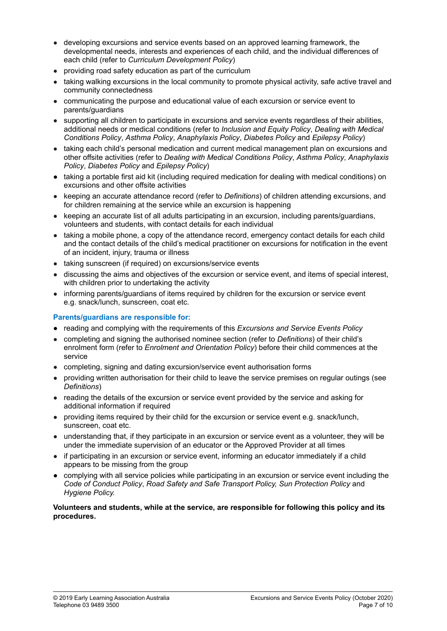- developing excursions and service events based on an approved learning framework, the developmental needs, interests and experiences of each child, and the individual differences of each child (refer to *Curriculum Development Policy*)
- providing road safety education as part of the curriculum
- taking walking excursions in the local community to promote physical activity, safe active travel and community connectedness
- communicating the purpose and educational value of each excursion or service event to parents/guardians
- supporting all children to participate in excursions and service events regardless of their abilities, additional needs or medical conditions (refer to *Inclusion and Equity Policy*, *Dealing with Medical Conditions Policy*, *Asthma Policy*, *Anaphylaxis Policy*, *Diabetes Policy* and *Epilepsy Policy*)
- taking each child's personal medication and current medical management plan on excursions and other offsite activities (refer to *Dealing with Medical Conditions Policy*, *Asthma Policy*, *Anaphylaxis Policy*, *Diabetes Policy* and *Epilepsy Policy*)
- taking a portable first aid kit (including required medication for dealing with medical conditions) on excursions and other offsite activities
- keeping an accurate attendance record (refer to *Definitions*) of children attending excursions, and for children remaining at the service while an excursion is happening
- keeping an accurate list of all adults participating in an excursion, including parents/guardians, volunteers and students, with contact details for each individual
- taking a mobile phone, a copy of the attendance record, emergency contact details for each child and the contact details of the child's medical practitioner on excursions for notification in the event of an incident, injury, trauma or illness
- taking sunscreen (if required) on excursions/service events
- discussing the aims and objectives of the excursion or service event, and items of special interest, with children prior to undertaking the activity
- informing parents/quardians of items required by children for the excursion or service event e.g. snack/lunch, sunscreen, coat etc.

#### **Parents/guardians are responsible for:**

- **●** reading and complying with the requirements of this *Excursions and Service Events Policy*
- completing and signing the authorised nominee section (refer to *Definitions*) of their child's enrolment form (refer to *Enrolment and Orientation Policy*) before their child commences at the service
- completing, signing and dating excursion/service event authorisation forms
- providing written authorisation for their child to leave the service premises on regular outings (see *Definitions*)
- reading the details of the excursion or service event provided by the service and asking for additional information if required
- providing items required by their child for the excursion or service event e.g. snack/lunch, sunscreen, coat etc.
- understanding that, if they participate in an excursion or service event as a volunteer, they will be under the immediate supervision of an educator or the Approved Provider at all times
- if participating in an excursion or service event, informing an educator immediately if a child appears to be missing from the group
- *●* complying with all service policies while participating in an excursion or service event including the *Code of Conduct Policy*, *Road Safety and Safe Transport Policy, Sun Protection Policy* and *Hygiene Policy.*

#### **Volunteers and students, while at the service, are responsible for following this policy and its procedures.**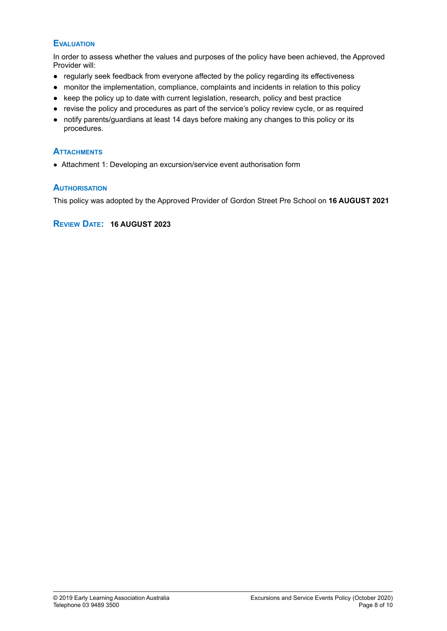### **EVALUATION**

In order to assess whether the values and purposes of the policy have been achieved, the Approved Provider will:

- regularly seek feedback from everyone affected by the policy regarding its effectiveness
- monitor the implementation, compliance, complaints and incidents in relation to this policy
- keep the policy up to date with current legislation, research, policy and best practice
- revise the policy and procedures as part of the service's policy review cycle, or as required
- **●** notify parents/guardians at least 14 days before making any changes to this policy or its procedures.

### **ATTACHMENTS**

● Attachment 1: Developing an excursion/service event authorisation form

### **AUTHORISATION**

This policy was adopted by the Approved Provider of Gordon Street Pre School on **16 AUGUST 2021**

#### **REVIEW DATE: 16 AUGUST 2023**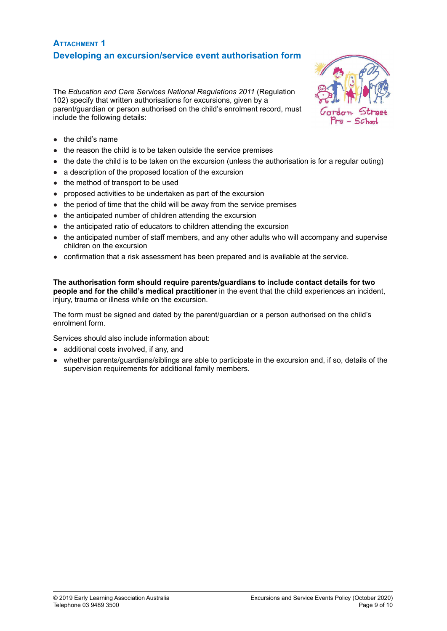## **ATTACHMENT 1 Developing an excursion/service event authorisation form**

The *Education and Care Services National Regulations 2011* (Regulation 102) specify that written authorisations for excursions, given by a parent/guardian or person authorised on the child's enrolment record, must include the following details:



- the child's name
- the reason the child is to be taken outside the service premises
- the date the child is to be taken on the excursion (unless the authorisation is for a regular outing)
- a description of the proposed location of the excursion
- the method of transport to be used
- proposed activities to be undertaken as part of the excursion
- the period of time that the child will be away from the service premises
- the anticipated number of children attending the excursion
- the anticipated ratio of educators to children attending the excursion
- the anticipated number of staff members, and any other adults who will accompany and supervise children on the excursion
- confirmation that a risk assessment has been prepared and is available at the service.

**The authorisation form should require parents/guardians to include contact details for two people and for the child's medical practitioner** in the event that the child experiences an incident, injury, trauma or illness while on the excursion.

The form must be signed and dated by the parent/guardian or a person authorised on the child's enrolment form.

Services should also include information about:

- additional costs involved, if any, and
- whether parents/guardians/siblings are able to participate in the excursion and, if so, details of the supervision requirements for additional family members.